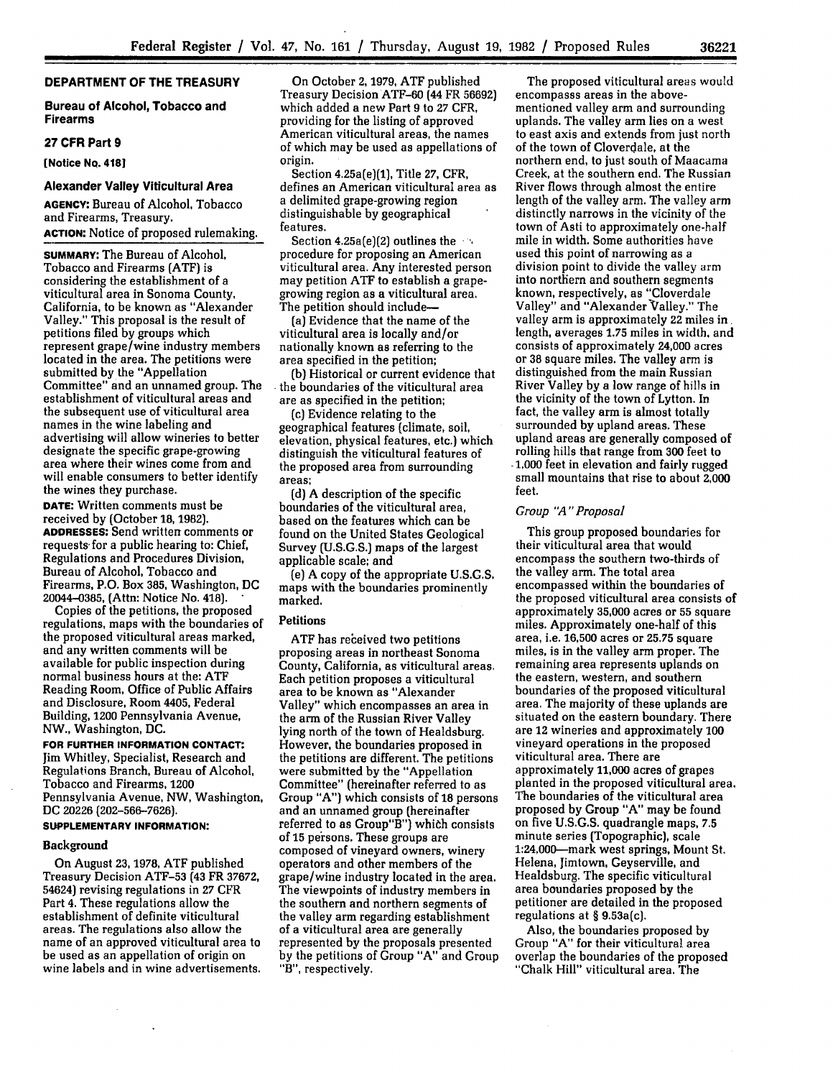### **DEPARTMENT OF THE TREASURY**

**Bureau of Alcohol, Tobacco and Firearms**

### **27 CFR Part 9**

**[Notice No. 4181**

### **Alexander Valley Viticultural Area**

**AGENCY:** Bureau of Alcohol, Tobacco and Firearms, Treasury. **ACTION:** Notice of proposed rulemaking.

**SUMMARY:** The Bureau of Alcohol, Tobacco and Firearms (ATF) is considering the establishment of a viticultural area in Sonoma County, California, to be known as "Alexander Valley." This proposal is the result of petitions filed by groups which represent grape/wine industry members located in the area. The petitions were submitted by the "Appellation Committee" and an unnamed group. The establishment of viticultural areas and the subsequent use of viticultural area names in the wine labeling and advertising will allow wineries to better designate the specific grape-growing area where their wines come from and will enable consumers to better identify the wines they purchase.

**DATE:** Written comments must be received by (October **18, 1982). ADDRESSES:** Send written comments or requests for a public hearing to: Chief, Regulations and Procedures Division, Bureau of Alcohol, Tobacco and Firearms, P.O. Box 385, Washington, **DC** 20044-0385, (Attn: Notice No. 418).

Copies of the petitions, the proposed regulations, maps with the boundaries of the proposed viticultural areas marked, and any written comments will be available for public inspection during normal business hours at the: ATF Reading Room, Office of Public Affairs and Disclosure, Room 4405, Federal Building, 1200 Pennsylvania Avenue, NW., Washington, **DC.**

**FOR FURTHER INFORMATION CONTACT:** Jim Whitley, Specialist, Research and Regulations Branch, Bureau of Alcohol, Tobacco and Firearms, 1200 Pennsylvania Avenue, NW, Washington, **DC** 20226 (202-566-7626).

## **SUPPLEMENTARY INFORMATION:**

 $\sim$ 

### Background

On August 23, **1978,** ATF published Treasury Decision ATF-53 (43 FR 37672, 54624) revising regulations in **27** CFR Part 4. These regulations allow the establishment of definite viticultural areas. The regulations also allow the name of an approved viticultural area to be used as an appellation of origin on wine labels and in wine advertisements.

On October 2, **1979,** ATF published Treasury Decision ATF-60 (44 FR 56692) which added a new Part 9 to **27** CFR, providing for the listing of approved American viticultural areas, the names of which may be used as appellations of origin.

Section 4.25a(e)(1), Title **27,** CFR, defines an American viticultural area as a delimited grape-growing region distinguishable by geographical features.

Section 4.25a(e)(2) outlines the procedure for proposing an American viticultural area. Any interested person may petition ATF to establish a grapegrowing region as a viticultural area. The petition should include-

(a) Evidence that the name of the viticultural area is locally and/or nationally known as referring to the area specified in the petition;

**(b)** Historical or current evidence that the boundaries of the viticultural area are as specified in the petition;

(c) Evidence relating to the geographical features (climate, soil, elevation, physical features, etc.) which distinguish the viticultural features of the proposed area from surrounding areas;

**(d)** A description of the specific boundaries of the viticultural area, based on the features which can be found on the United States Geological Survey (U.S.G.S.] maps of the largest applicable scale; and

(e) A copy of the appropriate U.S.G.S. maps with the boundaries prominently marked.

#### Petitions

ATF has received two petitions proposing areas in northeast Sonoma County, California, as viticultural areas. Each petition proposes a viticultural area to be known as "Alexander Valley" which encompasses an area in the arm of the Russian River Valley lying north of the town of Healdsburg. However, the boundaries proposed in the petitions are different. The petitions were submitted by the "Appellation Committee" (hereinafter referred to as Group "A") which consists of 18 persons and an unnamed group (hereinafter referred to as Group"B") which consists of **15** pe'rsons. These groups are composed of vineyard owners, winery operators and other members of the grape/wine industry located in the area. The viewpoints of industry members in the southern and northern segments of the valley arm regarding establishment of a viticultural area are generally represented by the proposals presented by the petitions of Group "A" and Group "B", respectively.

The proposed viticultural areas would encompasss areas in the abovementioned valley arm and surrounding uplands. The valley arm lies on a west to east axis and extends from just north of the town of Cloverdale, at the northern end, to just south of Maacama Creek, at the southern end. The Russian River flows through almost the entire length of the valley arm. The valley arm distinctly narrows in the vicinity of the town of Asti to approximately one-half mile in width. Some authorities have used this point of narrowing as a division point to divide the valley arm into northern and southern segments known, respectively, as "Cloverdale Valley" and "Alexander Valley." The valley arm is approximately 22 miles in. length, averages 1.75 miles in width, and consists of approximately 24,000 acres or 38 square miles. The valley arm is distinguished from the main Russian River Valley by a low range of hills in the vicinity of the town of Lytton. In fact, the valley arm is almost totally surrounded by upland areas. These upland areas are generally composed of rolling hills that range from 300 feet to 1,000 feet in elevation and fairly rugged small mountains that rise to about 2,000 feet.

### *Group "A "Proposal*

This group proposed boundaries for their viticultural area that would encompass the southern two-thirds of the valley arm. The total area encompassed within the boundaries of the proposed viticultural area consists of approximately 35,000 acres or 55 square miles. Approximately one-half of this area, i.e. 16,500 acres or 25.75 square miles, is in the valley arm proper. The remaining area represents uplands on the eastern, western, and southern boundaries of the proposed viticultural area. The majority of these uplands are situated on the eastern boundary. There are 12 wineries and approximately 100 vineyard operations in the proposed viticultural area. There are approximately 11,000 acres of grapes planted in the proposed viticultural area. The boundaries of the viticultural area proposed by Group "A" may be found on five U.S.G.S. quadrangle maps, **7.5** minute series (Topographic), scale 1:24,000--mark west springs, Mount St. Helena, Jimtown, Geyserville, and Healdsburg. The specific viticultural area boundaries proposed by the petitioner are detailed in the proposed regulations at § 9.53a(c).

Also, the boundaries proposed by Group **"A"** for their viticultural area overlap the boundaries of the proposed "Chalk Hill" viticultural area. The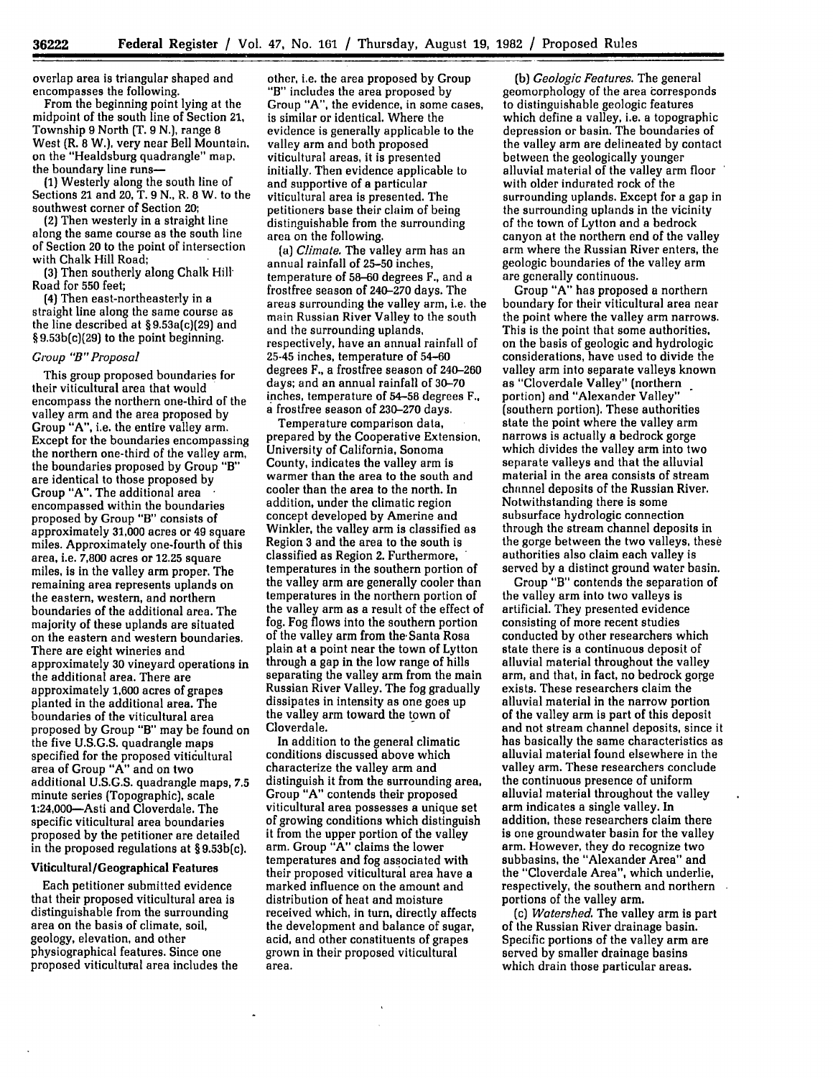overlap area is triangular shaped and encompasses the following.

From the beginning point lying at the midpoint of the south line of Section 21, Township 9 North (T. 9 N.), range 8 West (R. 8 W.), very near Bell Mountain, on the "Healdsburg quadrangle" map, the boundary line runs-

**(1)** Westerly along the south line of Sections 21 and 20, T. 9 N., R. **8** W. to the southwest corner of Section 20;

(2) Then westerly in a straight line along the same course as the south line of Section 20 to the point of intersection with Chalk Hill Road;

**(3]** Then southerly along Chalk Hill-Road for 550 feet;

(4) Then east-northeasterly in a straight line along the same course as the line described at § 9.53a(c)(29) and § 9.53b(c}{29) to the point beginning.

#### *Group "B" Proposal*

This group proposed boundaries for their viticultural area that would encompass the northern one-third of the valley arm and the area proposed by Group "A", i.e. the entire valley arm. Except for the boundaries encompassing the northern one-third of the valley arm, the boundaries proposed by Group "B" are identical to those proposed by Group "A". The additional area encompassed within the boundaries proposed by Group "B" consists of approximately 31,000 acres or 49 square miles. Approximately one-fourth of this area, i.e. 7,800 acres or 12.25 square miles, is in the valley arm proper. The remaining area represents uplands on the eastern, western, and northern boundaries of the additional area. The majority of these uplands are situated on the eastern and western boundaries. There are eight wineries and approximately 30 vineyard operations in the additional area. There are approximately 1,600 acres of grapes planted in the additional area. The proposed by Group "B" may be found on the five U.S.G.S. quadrangle maps specified for the proposed viticultural<br>area of Group "A" and on two additional U.S.G.S. quadrangle maps, 7.5 minute series (Topographic), scale 1:24,000-Asti and Cloverdale. The specific viticultural area boundaries proposed by the petitioner are detailed in the proposed regulations at § 9.53b(c).

#### Viticultural/Geographical Features

Each petitioner submitted evidence that their proposed viticultural area is distinguishable from the surrounding area on the basis of climate, soil, geology, elevation, and other physiographical features. Since one proposed viticultural area includes the

 $\ddot{\phantom{0}}$ 

other, i.e. the area proposed by Group "B" includes the area proposed by Group "A", the evidence, in some cases, is similar or identical. Where the evidence is generally applicable to the valley arm and both proposed viticultural areas, it is presented initially. Then evidence applicable to and supportive of a particular viticultural area is presented. The petitioners base their claim of being distinguishable from the surrounding area on the following.

*(a) Climate.* The valley arm has an annual rainfall of 25-50 inches, temperature of 58-60 degrees F., and a frostfree season of 240-270 days. The areas surrounding the valley arm, i.e. the main Russian River Valley to the south and the surrounding uplands, respectively, have an annual rainfall of 25-45 inches, temperature of 54-60 degrees F., a frostfree season of 240-260 days; and an annual rainfall of **30-70** inches, temperature of **54-58** degrees F., a frostfree season of 230-270 days.

Temperature comparison data, prepared by the Cooperative Extension, University of California, Sonoma County, indicates the valley arm is warmer than the area to the south and cooler than the area to the north. In addition, under the climatic region concept developed by Amerine and Winkler, the valley arm is classified as Region **3** and the area to the south is classified as Region 2. Furthermore, temperatures in the southern portion of the valley arm are generally cooler than temperatures in the northern portion of the valley arm as a result of the effect of fog. Fog flows into the southern portion of the valley arm from the Santa Rosa plain at a point near the town of Lytton through a gap in the low range of hills separating the valley arm from the main Russian River Valley. The fog gradually dissipates in intensity as one goes up the valley arm toward the town of Cloverdale.

In addition to the general climatic conditions discussed above which characterize the valley arm and distinguish it from the surrounding area, Group "A" contends their proposed viticultural area possesses a unique set of growing conditions which distinguish it from the upper portion of the valley arm. Group "A" claims the lower temperatures and fog associated with their proposed viticultural area have a marked influence on the amount and distribution of heat and moisture received which, in turn, directly affects the development and balance of sugar, acid, and other constituents of grapes grown in their proposed viticultural area.

*(b) Geologic Features.* The general geomorphology of the area corresponds to distinguishable geologic features which define a valley, i.e. a topographic depression or basin. The boundaries of the valley arm are delineated by contact between the geologically younger alluvial material of the valley arm floor with older indurated rock of the surrounding uplands. Except for a gap in the surrounding uplands in the vicinity of the town of Lytton and a bedrock canyon at the northern end of the valley arm where the Russian River enters, the geologic boundaries of the valley arm are generally continuous.

Group "A" has proposed a northern boundary for their viticultural area near the point where the valley arm narrows. This is the point that some authorities, on the basis of geologic and hydrologic considerations, have used to divide the valley arm into separate valleys known as "Cloverdale Valley" (northern portion) and "Alexander Valley" (southern portion). These authorities state the point where the valley arm narrows is actually a bedrock gorge which divides the valley arm into two separate valleys and that the alluvial material in the area consists of stream channel deposits of the Russian River. Notwithstanding there is some subsurface hydrologic connection through the stream channel deposits in the gorge between the two valleys, these authorities also claim each valley is served by a distinct ground water basin.

Group "B" contends the separation of the valley arm into two valleys is artificial. They presented evidence consisting of more recent studies conducted by other researchers which state there is a continuous deposit of alluvial material throughout the valley arm, and that, in fact, no bedrock gorge exists. These researchers claim the alluvial material in the narrow portion of the valley arm is part of this deposit and not stream channel deposits, since it has basically the same characteristics as alluvial material found elsewhere in the valley arm. These researchers conclude the continuous presence of uniform alluvial material throughout the valley arm indicates a single valley. In addition, these researchers claim there is one groundwater basin for the valley arm. However, they do recognize two subbasins, the "Alexander Area" and the "Cloverdale Area", which underlie, respectively, the southern and northern portions of the valley arm.

*(c) Watershed.* The valley arm is part of the Russian River drainage basin. Specific portions of the valley arm are served by smaller drainage basins which drain those particular areas.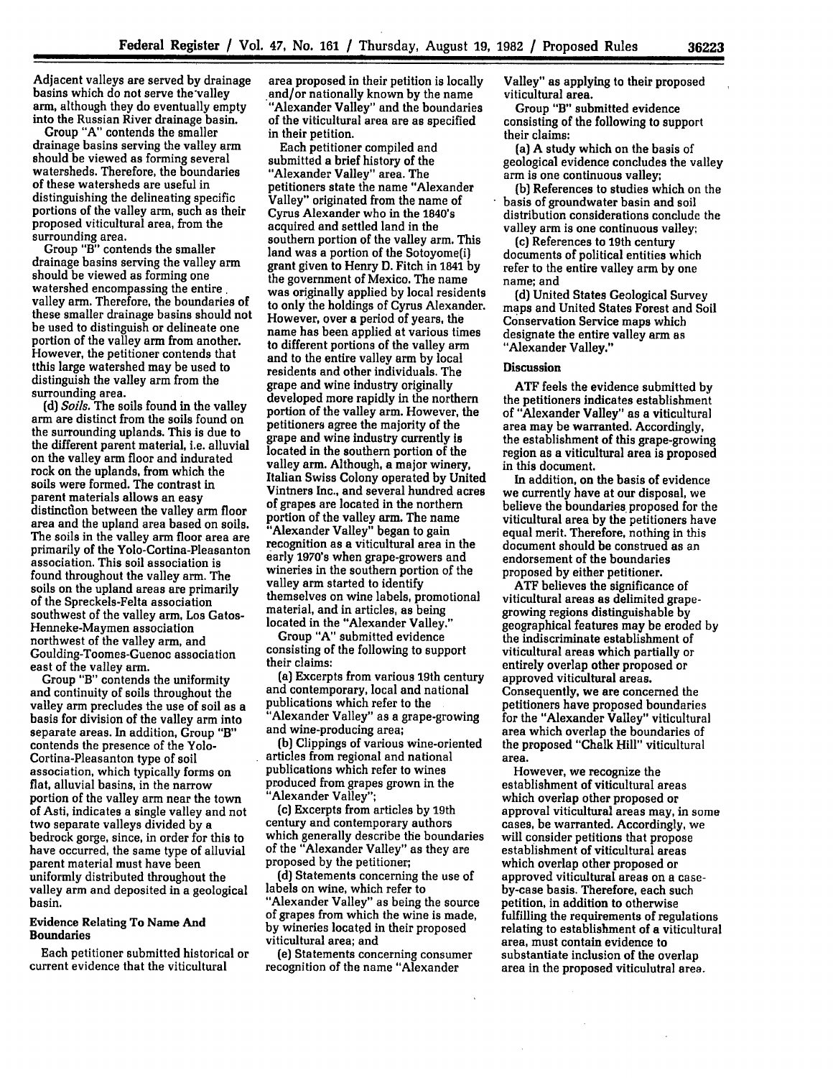Adjacent valleys are served **by** drainage basins which do not serve the valley arm, although they do eventually empty into the Russian River drainage basin.

Group "A" contends the smaller drainage basins serving the valley arm should be viewed as forming several watersheds. Therefore, the boundaries of these watersheds are useful in portions of the valley arm, such as their proposed viticultural area, from the surrounding area.

Group "B" contends the smaller drainage basins serving the valley arm should be viewed as forming one watershed encompassing the entire. valley arm. Therefore, the boundaries of these smaller drainage basins should not be used to distinguish or delineate one portion of the valley arm from another. However, the petitioner contends that tthis large watershed may be used to distinguish the valley arm from the surrounding area.

*(d) Soils.* The soils found in the valley arm are distinct from the soils found on the surrounding uplands. This is due to the different parent material, i.e. alluvial on the valley arm floor and indurated rock on the uplands, from which the soils were formed. The contrast in parent materials allows an easy distinction between the valley arm floor area and the upland area based on soils. The soils in the valley arm floor area are primarily of the Yolo-Cortina-Pleasanton association. This soil association is found throughout the valley arm. The soils on the upland areas are primarily of the Spreckels-Felta association southwest of the valley arm, Los Gatos-Henneke-Maymen association northwest of the valley arm, and Goulding-Toomes-Guenoc association east of the valley arm.

Group "B" contends the uniformity and continuity of soils throughout the valley arm precludes the use of soil as a basis for division of the valley arm into separate areas. In addition, Group "B" contends the presence of the Yolo-Cortina-Pleasanton type of soil association, which typically forms on flat, alluvial basins, in the narrow portion of the valley arm near the town **of** Asti, indicates a single valley and not two separate valleys divided **by** a bedrock gorge, since, in order for this to have occurred, the same type of alluvial parent material must have been uniformly distributed throughout the valley arm and deposited in a geological basin.

#### Evidence Relating To Name **And Boundaries**

Each petitioner submitted historical or current evidence that the viticultural

area proposed in their petition is locally .and/or nationally known **by** the name "Alexander Valley" and the boundaries of the viticultural area are as specified in their petition.

Each petitioner compiled and submitted a brief history of the "Alexander Valley" area. The petitioners state the name "Alexander Valley" originated from the name of Cyrus Alexander who in the 1840's acquired and settled land in the southern portion of the valley arm. This land was a portion of the Sotoyome(i) grant given to Henry **D.** Fitch in **1841 by** the government of Mexico. The name was originally applied **by** local residents to only'the holdings of Cyrus Alexander. However, over a period of years, the name has been applied at various times to different portions of the valley arm and to the entire valley arm **by** local residents and other individuals. The grape and wine industry originally developed more rapidly in the northern portion of the valley arm. However, the petitioners agree the majority of the grape and wine industry currently is located in the southern portion of the valley arm. Although, a major winery, Italian Swiss Colony operated **by** United Vintners Inc., and several hundred acres of grapes are located in the northern portion of the valley arm. The name "Alexander Valley" began to gain recognition as a viticultural area in the early 1970's when grape-growers and wineries in the southern portion of the valley arm started to identify themselves on wine labels, promotional material, and in articles, as being located in the "Alexander Valley."

Group **"A"** submitted evidence consisting of the following to support their claims:

(a) Excerpts from various 19th century and contemporary, local and national publications which refer to the "Alexander Valley" as a grape-growing and wine-producing area;

**(b)** Clippings of various wine-oriented articles from regional and national publications which refer to wines produced from grapes grown in the "Alexander Valley";

(c) Excerpts from articles **by** 19th century and contemporary authors which generally describe the boundaries of the "Alexander Valley" as they are proposed **by** the petitioner;

**(d)** Statements concerning the use of labels on wine, which refer to "Alexander Valley" as being the source of grapes from which the wine is made, by wineries located in their proposed viticultural area; and

(e) Statements concerning consumer recognition of the name "Alexander

Valley" as applying to their proposed viticultural area.

Group "B" submitted evidence consisting of the following to support their claims:

(a) **A** study which on the basis of geological evidence concludes the valley arm is one continuous valley;

**(b)** References to studies which on the basis of groundwater basin and soil distribution considerations conclude the valley arm is one continuous valley;

(c) References to 19th century documents of political entities which refer to the entire valley arm **by** one name; and

**(d)** United States Geological Survey maps and United States Forest and Soil Conservation Service maps which designate the entire valley arm as "Alexander Valley."

### **Discussion**

**ATF** feels the evidence submitted **by** the petitioners indicates establishment of "Alexander Valley" as a viticultural area may be warranted. Accordingly, the establishment of this grape-growing region as a viticultural area is proposed in this document.

In addition, on the basis of evidence we currently have at our disposal, we believe the boundaries proposed for the viticultural area **by** the petitioners have equal merit. Therefore, nothing in this document should be construed as an endorsement of the boundaries proposed **by** either petitioner.

ATF believes the significance of viticultural areas as delimited grapegrowing regions distinguishable **by** geographical features may be eroded by the indiscriminate establishment of viticultural areas which partially or entirely overlap other proposed or approved viticultural areas. Consequently, we are concerned the petitioners have proposed boundaries for the "Alexander Valley" viticultural area which overlap the boundaries of the proposed "Chalk Hill" viticultural area.

However, we recognize the establishment **of** viticultural areas approval viticultural areas may, in some cases, be warranted. Accordingly, we will consider petitions that propose establishment of viticultural areas which overlap other proposed or approved viticultural areas on a caseby-case basis. Therefore, each such petition, in addition to otherwise fulfilling the requirements of regulations relating to establishment of a viticultural area, must contain evidence to substantiate inclusion of the overlap area in the proposed viticulutral area.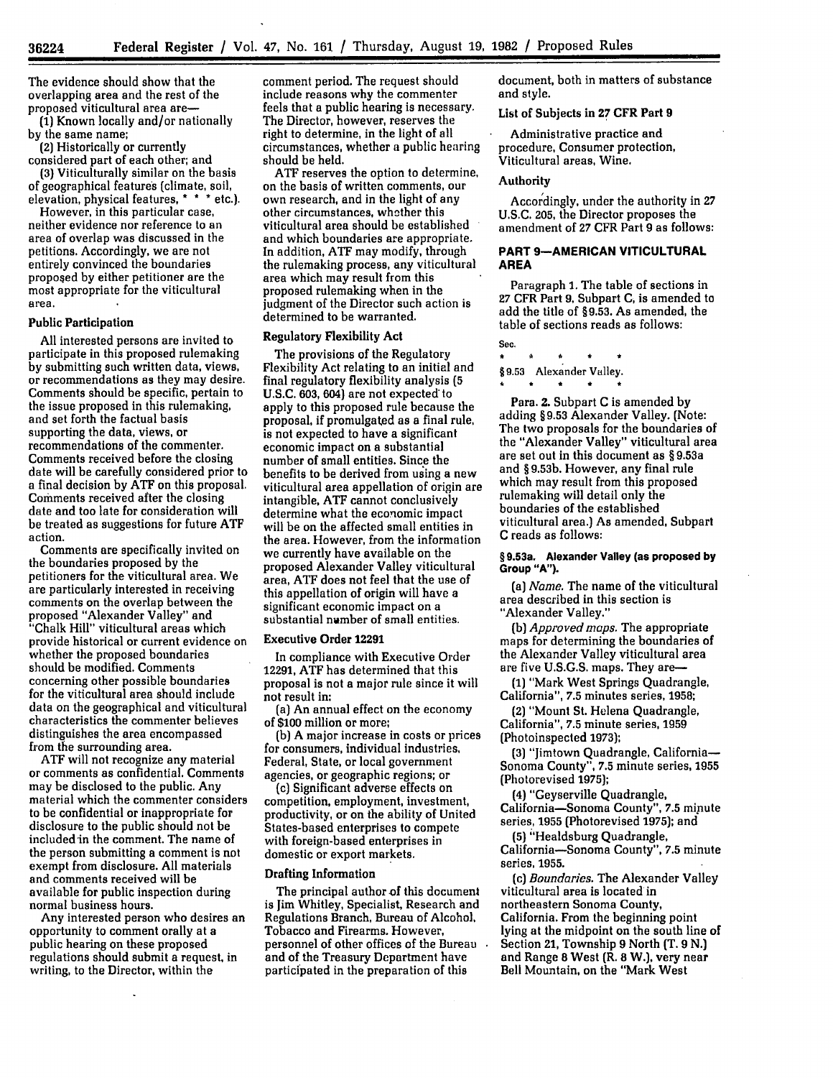The evidence should show that the overlapping area and the rest of the proposed viticultural area are-

**(1)** Known locally and/or nationally **by** the same name;

**(2)** Historically or currently considered part of each other; and

**(3)** Viticulturally similar on the basis of geographical features (climate, soil, elevation, physical features, **\* \* \*** etc.).

However, in this particular case, neither evidence nor reference to an area of overlap was discussed in the petitions. Accordingly, we are not entirely convinced the boundaries proposed **by** either petitioner are the most appropriate for the viticultural area.

#### **Public Participation**

**All** interested persons are invited to participate in this proposed rulemaking **by** submitting such written data, views, or recommendations as they may desire. Comments should be specific, pertain to the issue proposed in this rulemaking, and set forth the factual basis supporting the data, views, or recommendations of the commenter. Comments received before the closing date will be carefully considered prior to a final decision **by ATF** on this proposal. Comments received after the closing date and too late for consideration will be treated as suggestions for future **ATF** action.

Comments are specifically invited on the boundaries proposed **by** the petitioners for the viticultural area. We are particularly interested in receiving comments on the overlap between the proposed "Alexander Valley" and "Chalk Hill" viticultural areas which provide historical or current evidence on whether the proposed boundaries should be modified. Comments concerning other possible boundaries for the viticultural area should include data on the geographical and viticultural characteristics the commenter believes distinguishes the area encompassed from the surrounding area.

**ATF** will not recognize any material or comments as confidential. Comments may be disclosed to the public. Any material which the commenter considers to be confidential or inappropriate for disclosure to the public should not be included in the comment. The name of the person submitting a comment is not exempt from disclosure. **All** materials and comments received will be available for public inspection during normal business hours.

Any interested person who desires an opportunity to comment orally at a public hearing on these proposed regulations should submit a request, in writing, to the Director, within the

comment period. The request should include reasons why the commenter feels that a public hearing is necessary. The Director, however, reserves the right to determine, in the light of all circumstances, whether a public hearing should be held.

ATF reserves the option to determine, on the basis of written comments, our own research, and in the light of any other circumstances, whother this viticultural area should be established and which boundaries are appropriate. In addition, ATF may modify, through the rulemaking process, any viticultural area which may result from this proposed rulemaking when in the judgment of the Director such action is determined to be warranted.

### Regulatory Flexibility Act

The provisions of the Regulatory Flexibility Act relating to an initial and final regulatory flexibility analysis (5 **U.S.C.** 603, 604) are not expected to apply to this proposed rule because the proposal, if promulgated as a final rule, is not expected to have a significant economic impact on a substantial number of small entities. Since the benefits to be derived from using a new viticultural area appellation of origin are intangible, ATF cannot conclusively determine what the economic impact will be on the affected small entities in the area. However, from the information we currently have available on the proposed Alexander Valley viticultural area, ATF does not feel that the use of this appellation of origin will have a significant economic impact on a substantial number of small entities.

### **Executive Order 12291**

In compliance with Executive Order **12291, ATF** has determined that this proposal is not a major rule since it will not result in:

(a) An annual effect on the economy of **\$100** million or more;

**(b) A** major increase in costs or prices for consumers, individual industries, Federal, State, or local government agencies, or geographic regions; or

(c) Significant adverse effects on competition, employment, investment, productivity, or on the ability of United States-based enterprises to compete with foreign-based enterprises in domestic or export markets.

### **Drafting Information**

The principal author of this document is Jim Whitley, Specialist, Research and Regulations Branch, Bureau of Alcohol, Tobacco and Firearms. However, personnel of other offices of the Bureau and of the Treasury Department have participated in the preparation of this

document, both in matters of substance and style.

# List **of** Subjects in **27 CFR Part 9**

Administrative practice and procedure, Consumer protection, Viticultural areas, Wine.

## Authority

Accordingly, under the authority in **27** U.S.C. **205,** the Director proposes the amendment of **27** CFR Part 9 as follows:

### **PART 9-AMERICAN VITICULTURAL AREA**

Paragraph **1.** The table of sections in **27** CFR Part **9,** Subpart **C,** is amended to add the title of §9.53. As amended, the table of sections reads as follows:

 $\bullet$ 

**Sec.**

 $\star$ **§ 9.53** Alexander Valley.

Para. 2. Subpart **C** is amended **by** adding §9.53 Alexander Valley. (Note: The two proposals for the boundaries of the "Alexander Valley" viticultural area are set out in this document as **§** 9.53a and § 9.53b. However, any final rule which may result from this proposed rulemaking will detail only the boundaries of the established viticultural area.) As amended, Subpart **C** reads as follows:

#### **§ 9.53a. Alexander Valley (as proposed by Group "A").**

**(a]** *Name.* The name of the viticultural area described in this section is "Alexander Valley."

*(b) Approved maps.* The appropriate maps for determining the boundaries of the Alexander Valley viticultural area are five U.S.G.S. maps. They are-

(1) "Mark West Springs Quadrangle, California", **7.5** minutes series, **1958;**

(2) "Mount St. Helena Quadrangle, California", **7.5** minute series, 1959 (Photoinspected **1973);**

**(3)** "Jimtown Quadrangle, California-Sonoma County", 7.5 minute series, **1955** (Photorevised **1975);**

**(4)** "Geyserville Quadrangle, California-Sonoma County", **7.5** minute series, 1955 (Photorevised **1975);** and

(5) 'Healdsburg Quadrangle,

California-Sonoma County", **7.5** minute series, **1955.**

*(c) Boundaries.* The Alexander Valley viticultural area is located in northeastern Sonoma County, California. From the beginning point lying at the midpoint on the south line of Section 21, Township 9 North (T. 9 **N.)** and Range 8 West (R. **8** W.), very near Bell Mountain, on the "Mark West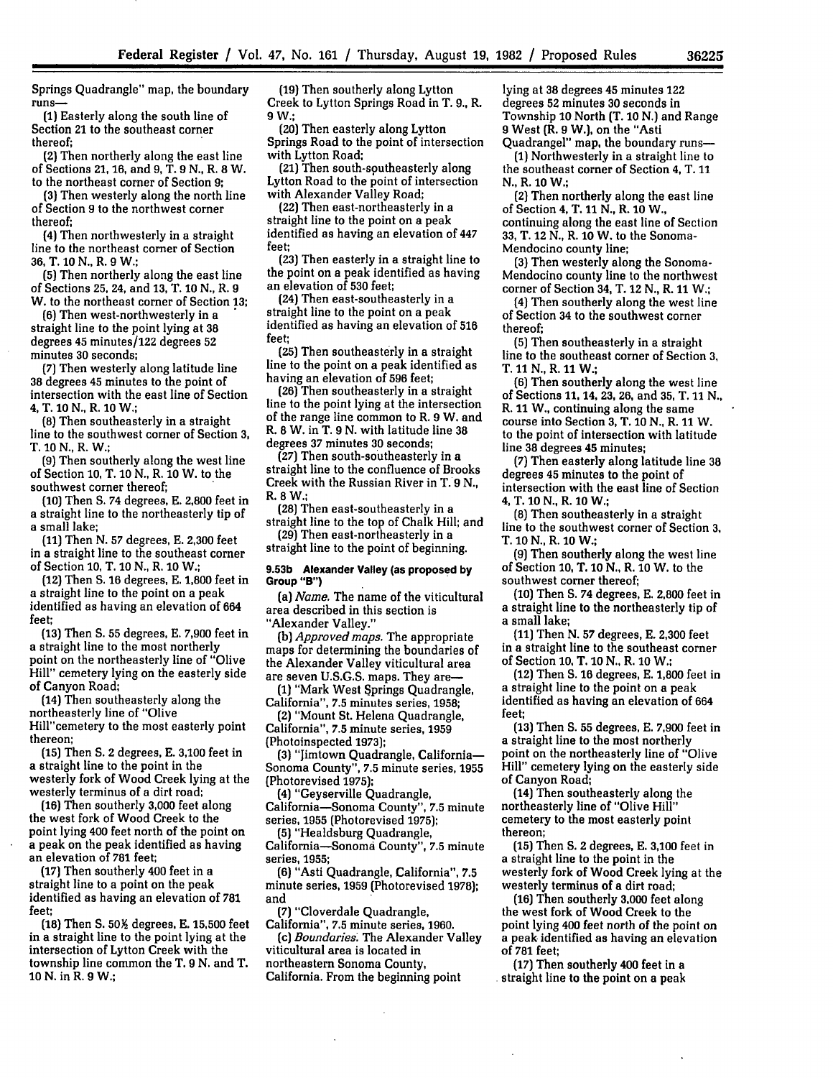Springs Quadrangle" map, the boundary runs-

**(1)** Easterly along the south line of Section 21 to the southeast corner thereof;

(2] Then northerly along the east line of Sections **21,** 16, and 9, T. 9 **N.,** R. **8** W. to the northeast corner of Section 9;

**(3)** Then westerly along the north line of Section 9 to the northwest corner thereof;

(4) Then northwesterly in a straight line to the northeast corner of Section 36, T. **10** N., R. 9 W.;

**(5)** Then northerly along the east line of Sections 25, 24, and **13,** T. **10** N., R. 9 W. to the northeast corner of Section 13;

(6) Then west-northwesterly in a straight line to the point lying at 38 degrees 45 minutes/122 degrees **52** minutes **30** seconds;

**(7)** Then westerly along latitude line **38** degrees 45 minutes to the point of intersection with the east line of Section 4, T. **10** N., R. **10** W.;

**(8)** Then southeasterly in a straight line to the southwest corner of Section **3,** T. **10** N., R. W.;

(9) Then southerly along the west line of Section **10,** T. **10 N.,** R. **10** W. to the southwest corner thereof;

**(10)** Then **S.** 74 degrees, **E. 2,800** feet in a straight line to the northeasterly tip of a small lake;

(11) Then N. **57** degrees, **E. 2,300** feet in a straight line to the southeast corner of Section **10,** T. **10** N., R. **10** W.;

(12) Then **S.** 16 degrees, **E. 1,800** feet in a straight line to the point on a peak identified as having an elevation of 664 feet;

**(13)** Then **S. 55** degrees, **E. 7,900** feet in a straight line to the most northerly point on the northeasterly line of "Olive Hill" cemetery lying on the easterly side of Canyon Road;

(14) Then southeasterly along the northeasterly line of "Olive Hill"cemetery to the most easterly point thereon;

(15) Then S. 2 degrees, **E. 3,100** feet in a straight line to the point in the westerly fork of Wood Creek lying at the westerly terminus of a dirt road;

(16) Then southerly **3,000** feet along the west fork of Wood Creek to the point lying 400 feet north of the point on a peak on the peak identified as having an elevation of 781 feet;

**(17)** Then southerly 400 feet in a straight line to a point on the peak identified as having an elevation of 781 feet;

(18) Then S. **50JY** degrees, **E.** 15,500 feet in a straight line to the point lying at the intersection of Lytton Creek with the township line common the T. **9 N.** and T. **10 N.** in R. **9** W.;

(19) Then southerly along Lytton Creek to Lytton Springs Road in T. **9.,** R. 9 W.;

(20) Then easterly along Lytton Springs Road to the point of intersection with Lytton Road;

(21) Then south-southeasterly along Lytton Road to the point of intersection with Alexander Valley Road;

(22) Then east-northeasterly in a straight line to the point on a peak identified as having an elevation of 447 feet;

(23) Then easterly in a straight line to the point on a peak identified as having an elevation of **530** feet;

(24) Then east-southeasterly in a straight line to the point on a peak identified as having an elevation of **516** feet;

**(25)** Then southeasterly in a straight line to the point on a peak identified as having an elevation of **596** feet;

(26) Then southeasterly in a straight line to the point lying at the intersection of the range line common to R. 9 W. and R. 8 W. in T. 9 N. with latitude line 38 degrees 37 minutes **30** seconds;

(27) Then south-southeasterly in a straight line to the confluence of Brooks Creek with the Russian River in T. 9 **N.,** R. **8** W.;

(28) Then east-southeasterly in a straight line to the top of Chalk Hill; and<br>(29) Then east-northeasterly in a

straight line to the point of beginning.

#### **9.53b Alexander Valley** (as **proposed by Group "B")**

(a) *Name.* The name of the viticultural area described in this section is "Alexander Valley."

(b) *Approved maps.* The appropriate maps for determining the boundaries of the Alexander Valley viticultural area are seven U.S.G.S. maps. They are-

(1) "Mark West Springs Quadrangle, California", **7.5** minutes series, **1958;**

(2) "Mount St. Helena Quadrangle, California", **7.5** minute series, **1959** (Photoinspected 1973);

**(3)** "Jimtown Quadrangle, California-Sonoma County", **7.5** minute series, **1955** (Photorevised 1975);

(4) "Geyserville Quadrangle, California-Sonoma County", 7.5 minute series, **1955** (Photorevised 1975);

**(5)** "Healdsburg Quadrangle, California-Sonoma County", **7.5** minute series, **1955;**

**(6)** "Asti Quadrangle, California", **7.5** minute series, 1959 (Photorevised 1978); and

**(7)** "Cloverdale Quadrangle,

California", **7.5** minute series, **1960.** *(c) Boundaries.* The Alexander Valley viticultural area is located in northeastern Sonoma County, California. From the beginning point

lying at 38 degrees 45 minutes 122 degrees **52** minutes **30** seconds in Township **10** North (T. **10** N.) and Range 9 West (R. 9 W.), on the "Asti

Quadrangel" map, the boundary runs- (1) Northwesterly in a straight line to the southeast corner of Section 4, T. **11 N.,** R. **10** W.;

(2) Then northerly along the east line **of** Section 4, T. 11 N., R. **10** W., continuing along the east line of Section

33, T. 12 N., R. **10** W. to the Sonoma-Mendocino county line;

(3) Then westerly along the Sonoma-Mendocino county line to the northwest corner of Section 34, T. 12 N., R. 11 W.;

(4) Then southerly along the west line of Section 34 to the southwest corner thereof;

**(5)** Then southeasterly in a straight line to the southeast corner of Section **3,** T. 11 **N.,** R. 11 W.;

**(6)** Then southerly along the west line of Sections 11, 14, **23,** 26, and **35,** T. **11** N., R. 11 W., continuing along the same course into Section 3, T. **10** N., R. **11** W. to the point of intersection with latitude line 38 degrees 45 minutes;

(7) Then easterly along latitude line 38 degrees 45 minutes to the point of intersection with the east line of Section **4,** T. **10 N.,** R. **10** W.;

**(8)** Then southeasterly in a straight line to the southwest corner of Section **3,** T. **10** N., R. **10** W.;

**(9)** Then southerly along the west line of Section **10,** T. **10** N., R. **10** W. to the southwest corner thereof;

**(10)** Then **S.** 74 degrees, **E. 2,800** feet in a straight line to the northeasterly tip of a small lake;

(11) Then N. **57** degrees, **E. 2,300** feet in a straight line to the southeast corner of Section **10,** T. **10** N., R. **10 W.;**

(12) Then **S.** 16 degrees, **E. 1,800** feet in a straight line to the point on a peak identified as having an elevation of 664 feet;

**(13)** Then **S. 55** degrees, **E. 7,900** feet in a straight line to the most northerly point on the northeasterly line of "Olive Hill" cemetery lying on the easterly side of Canyon Road;

(14) Then southeasterly along the northeasterly line of "Olive Hill" cemetery to the most easterly point thereon;

**(15)** Then **S.** 2 degrees, **E. 3,100** feet in a straight line to the point in the westerly fork of Wood Creek lying at the westerly terminus of a dirt road;

**(16)** Then southerly **3,000** feet along the west fork of Wood Creek to the point lying 400 feet north of the point on a peak identified as having an elevation of **781** feet;

**(17)** Then southerly 400 feet in a straight line to the point on a peak